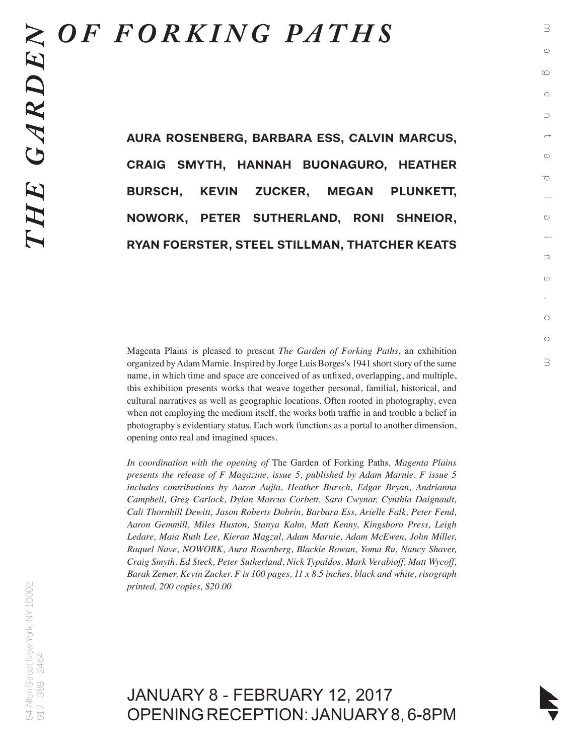## *OF FORKING PATHS*

**AURA ROSENBERG, BARBARA ESS, CALVIN MARCUS, CRAIG SMYTH, HANNAH BUONAGURO, HEATHER BURSCH, KEVIN ZUCKER, MEGAN PLUNKETT, NOWORK, PETER SUTHERLAND, RONI SHNEIOR, RYAN FOERSTER, STEEL STILLMAN, THATCHER KEATS** magentaplains.com

 $\infty$ 

 $\supset$ 

 $\circlearrowleft$ 

 $\bigcirc$ 

 $\circ$ 

3

Ō

 $\exists$ 

 $\infty$ 

 $\circlearrowright$ 

 $\circ$ 

 $\supset$ 

 $\overline{\phantom{0}}$  $\omega$ 

Magenta Plains is pleased to present *The Garden of Forking Paths*, an exhibition organized by Adam Marnie. Inspired by Jorge Luis Borges's 1941 short story of the same name, in which time and space are conceived of as unfixed, overlapping, and multiple, this exhibition presents works that weave together personal, familial, historical, and cultural narratives as well as geographic locations. Often rooted in photography, even when not employing the medium itself, the works both traffic in and trouble a belief in photography's evidentiary status. Each work functions as a portal to another dimension, opening onto real and imagined spaces.

*In coordination with the opening of* The Garden of Forking Paths*, Magenta Plains presents the release of F Magazine, issue 5, published by Adam Marnie. F issue 5 includes contributions by Aaron Aujla, Heather Bursch, Edgar Bryan, Andrianna Campbell, Greg Carlock, Dylan Marcus Corbett, Sara Cwynar, Cynthia Daignault, Cali Thornhill Dewitt, Jason Roberts Dobrin, Barbara Ess, Arielle Falk, Peter Fend, Aaron Gemmill, Miles Huston, Stanya Kahn, Matt Kenny, Kingsboro Press, Leigh Ledare, Maia Ruth Lee, Kieran Magzul, Adam Marnie, Adam McEwen, John Miller, Raquel Nave, NOWORK, Aura Rosenberg, Blackie Rowan, Yoma Ru, Nancy Shaver, Craig Smyth, Ed Steck, Peter Sutherland, Nick Typaldos, Mark Verabioff, Matt Wycoff, Barak Zemer, Kevin Zucker. F is 100 pages, 11 x 8.5 inches, black and white, risograph printed, 200 copies, \$20.00*

JANUARY 8 - FEBRUARY 12, 2017 OPENING RECEPTION: JANUARY 8, 6-8PM